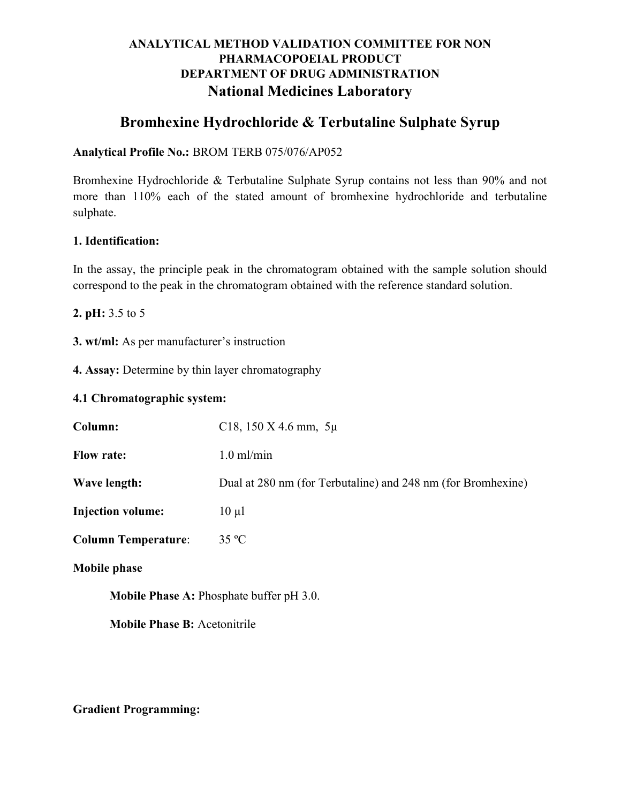## ANALYTICAL METHOD VALIDATION COMMITTEE FOR NON PHARMACOPOEIAL PRODUCT DEPARTMENT OF DRUG ADMINISTRATION National Medicines Laboratory

# Bromhexine Hydrochloride & Terbutaline Sulphate Syrup

### Analytical Profile No.: BROM TERB 075/076/AP052

Bromhexine Hydrochloride & Terbutaline Sulphate Syrup contains not less than 90% and not more than 110% each of the stated amount of bromhexine hydrochloride and terbutaline sulphate.

## 1. Identification:

In the assay, the principle peak in the chromatogram obtained with the sample solution should correspond to the peak in the chromatogram obtained with the reference standard solution.

2. pH: 3.5 to 5

3. wt/ml: As per manufacturer's instruction

4. Assay: Determine by thin layer chromatography

### 4.1 Chromatographic system:

| Column:                                         | C18, 150 X 4.6 mm, $5\mu$                                    |  |
|-------------------------------------------------|--------------------------------------------------------------|--|
| <b>Flow rate:</b>                               | $1.0$ ml/min                                                 |  |
| Wave length:                                    | Dual at 280 nm (for Terbutaline) and 248 nm (for Bromhexine) |  |
| <b>Injection volume:</b>                        | $10 \mu l$                                                   |  |
| <b>Column Temperature:</b>                      | $35 \text{ °C}$                                              |  |
| <b>Mobile phase</b>                             |                                                              |  |
| <b>Mobile Phase A: Phosphate buffer pH 3.0.</b> |                                                              |  |

Mobile Phase B: Acetonitrile

Gradient Programming: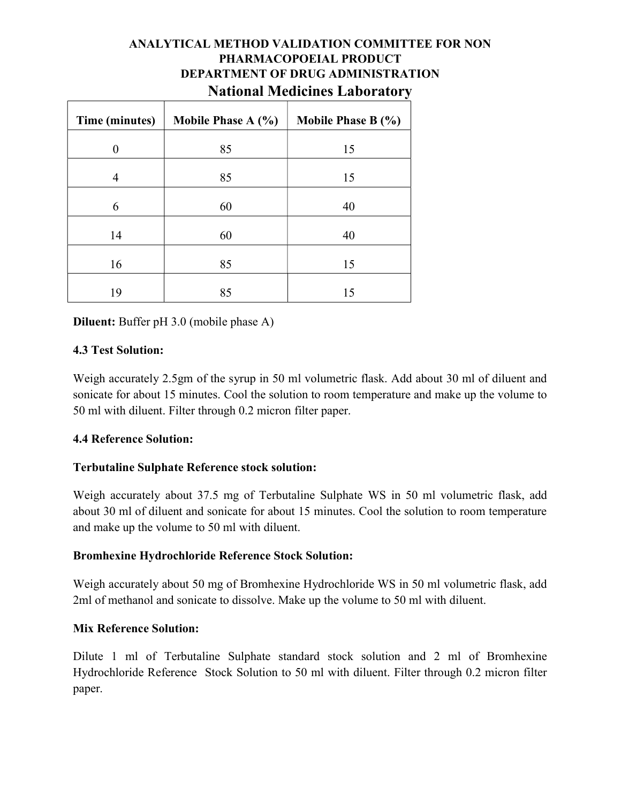## ANALYTICAL METHOD VALIDATION COMMITTEE FOR NON PHARMACOPOEIAL PRODUCT DEPARTMENT OF DRUG ADMINISTRATION National Medicines Laboratory

| Time (minutes)   | Mobile Phase $A(\%)$ | Mobile Phase B $(\% )$ |
|------------------|----------------------|------------------------|
| $\boldsymbol{0}$ | 85                   | 15                     |
| 4                | 85                   | 15                     |
| 6                | 60                   | 40                     |
| 14               | 60                   | 40                     |
| 16               | 85                   | 15                     |
| 19               | 85                   | 15                     |

Diluent: Buffer pH 3.0 (mobile phase A)

### 4.3 Test Solution:

Weigh accurately 2.5gm of the syrup in 50 ml volumetric flask. Add about 30 ml of diluent and sonicate for about 15 minutes. Cool the solution to room temperature and make up the volume to 50 ml with diluent. Filter through 0.2 micron filter paper.

#### 4.4 Reference Solution:

## Terbutaline Sulphate Reference stock solution:

Weigh accurately about 37.5 mg of Terbutaline Sulphate WS in 50 ml volumetric flask, add about 30 ml of diluent and sonicate for about 15 minutes. Cool the solution to room temperature and make up the volume to 50 ml with diluent.

## Bromhexine Hydrochloride Reference Stock Solution:

Weigh accurately about 50 mg of Bromhexine Hydrochloride WS in 50 ml volumetric flask, add 2ml of methanol and sonicate to dissolve. Make up the volume to 50 ml with diluent.

#### Mix Reference Solution:

Dilute 1 ml of Terbutaline Sulphate standard stock solution and 2 ml of Bromhexine Hydrochloride Reference Stock Solution to 50 ml with diluent. Filter through 0.2 micron filter paper.